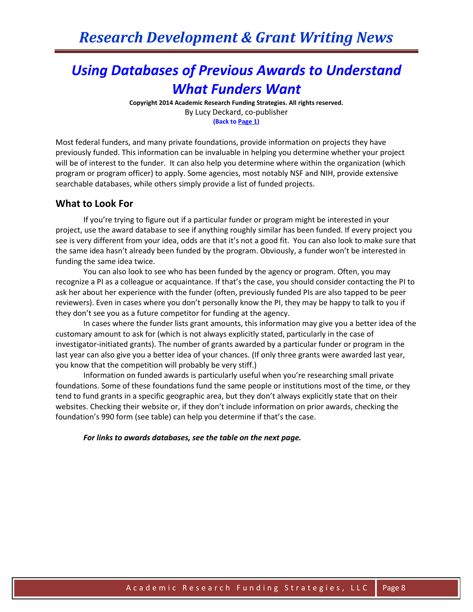## *Using Databases of Previous Awards to Understand What Funders Want*

**Copyright 2014 Academic Research Funding Strategies. All rights reserved.** By Lucy Deckard, co-publisher **(Back to Page 1)**

Most federal funders, and many private foundations, provide information on projects they have previously funded. This information can be invaluable in helping you determine whether your project will be of interest to the funder. It can also help you determine where within the organization (which program or program officer) to apply. Some agencies, most notably NSF and NIH, provide extensive searchable databases, while others simply provide a list of funded projects.

## **What to Look For**

If you're trying to figure out if a particular funder or program might be interested in your project, use the award database to see if anything roughly similar has been funded. If every project you see is very different from your idea, odds are that it's not a good fit. You can also look to make sure that the same idea hasn't already been funded by the program. Obviously, a funder won't be interested in funding the same idea twice.

You can also look to see who has been funded by the agency or program. Often, you may recognize a PI as a colleague or acquaintance. If that's the case, you should consider contacting the PI to ask her about her experience with the funder (often, previously funded PIs are also tapped to be peer reviewers). Even in cases where you don't personally know the PI, they may be happy to talk to you if they don't see you as a future competitor for funding at the agency.

In cases where the funder lists grant amounts, this information may give you a better idea of the customary amount to ask for (which is not always explicitly stated, particularly in the case of investigator-initiated grants). The number of grants awarded by a particular funder or program in the last year can also give you a better idea of your chances. (If only three grants were awarded last year, you know that the competition will probably be very stiff.)

Information on funded awards is particularly useful when you're researching small private foundations. Some of these foundations fund the same people or institutions most of the time, or they tend to fund grants in a specific geographic area, but they don't always explicitly state that on their websites. Checking their website or, if they don't include information on prior awards, checking the foundation's 990 form (see table) can help you determine if that's the case.

## *For links to awards databases, see the table on the next page.*